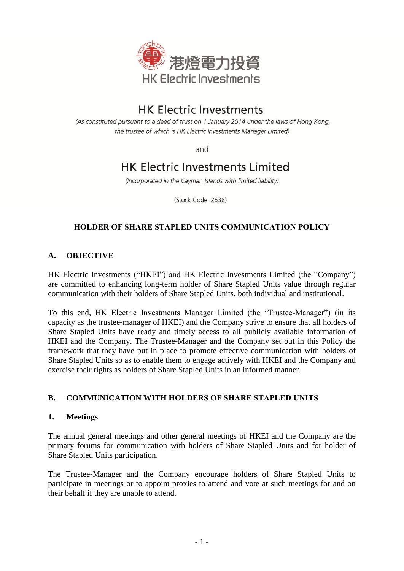

# **HK Electric Investments**

(As constituted pursuant to a deed of trust on 1 January 2014 under the laws of Hong Kong, the trustee of which is HK Electric Investments Manager Limited)

and

# **HK Electric Investments Limited**

(Incorporated in the Cayman Islands with limited liability)

(Stock Code: 2638)

## **HOLDER OF SHARE STAPLED UNITS COMMUNICATION POLICY**

## **A. OBJECTIVE**

HK Electric Investments ("HKEI") and HK Electric Investments Limited (the "Company") are committed to enhancing long-term holder of Share Stapled Units value through regular communication with their holders of Share Stapled Units, both individual and institutional.

To this end, HK Electric Investments Manager Limited (the "Trustee-Manager") (in its capacity as the trustee-manager of HKEI) and the Company strive to ensure that all holders of Share Stapled Units have ready and timely access to all publicly available information of HKEI and the Company. The Trustee-Manager and the Company set out in this Policy the framework that they have put in place to promote effective communication with holders of Share Stapled Units so as to enable them to engage actively with HKEI and the Company and exercise their rights as holders of Share Stapled Units in an informed manner.

## **B. COMMUNICATION WITH HOLDERS OF SHARE STAPLED UNITS**

#### **1. Meetings**

The annual general meetings and other general meetings of HKEI and the Company are the primary forums for communication with holders of Share Stapled Units and for holder of Share Stapled Units participation.

The Trustee-Manager and the Company encourage holders of Share Stapled Units to participate in meetings or to appoint proxies to attend and vote at such meetings for and on their behalf if they are unable to attend.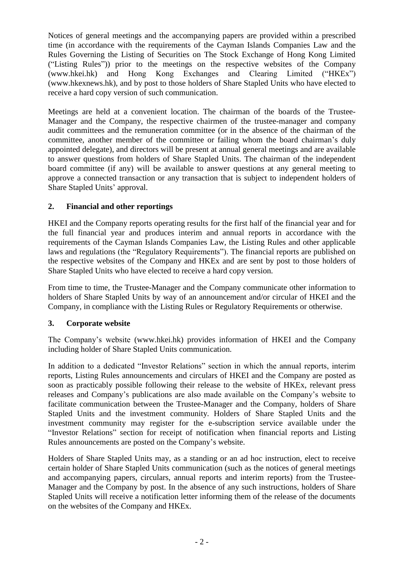Notices of general meetings and the accompanying papers are provided within a prescribed time (in accordance with the requirements of the Cayman Islands Companies Law and the Rules Governing the Listing of Securities on The Stock Exchange of Hong Kong Limited ("Listing Rules")) prior to the meetings on the respective websites of the Company (www.hkei.hk) and Hong Kong Exchanges and Clearing Limited ("HKEx") (www.hkexnews.hk), and by post to those holders of Share Stapled Units who have elected to receive a hard copy version of such communication.

Meetings are held at a convenient location. The chairman of the boards of the Trustee-Manager and the Company, the respective chairmen of the trustee-manager and company audit committees and the remuneration committee (or in the absence of the chairman of the committee, another member of the committee or failing whom the board chairman's duly appointed delegate), and directors will be present at annual general meetings and are available to answer questions from holders of Share Stapled Units. The chairman of the independent board committee (if any) will be available to answer questions at any general meeting to approve a connected transaction or any transaction that is subject to independent holders of Share Stapled Units' approval.

### **2. Financial and other reportings**

HKEI and the Company reports operating results for the first half of the financial year and for the full financial year and produces interim and annual reports in accordance with the requirements of the Cayman Islands Companies Law, the Listing Rules and other applicable laws and regulations (the "Regulatory Requirements"). The financial reports are published on the respective websites of the Company and HKEx and are sent by post to those holders of Share Stapled Units who have elected to receive a hard copy version.

From time to time, the Trustee-Manager and the Company communicate other information to holders of Share Stapled Units by way of an announcement and/or circular of HKEI and the Company, in compliance with the Listing Rules or Regulatory Requirements or otherwise.

#### **3. Corporate website**

The Company's website (www.hkei.hk) provides information of HKEI and the Company including holder of Share Stapled Units communication.

In addition to a dedicated "Investor Relations" section in which the annual reports, interim reports, Listing Rules announcements and circulars of HKEI and the Company are posted as soon as practicably possible following their release to the website of HKEx, relevant press releases and Company's publications are also made available on the Company's website to facilitate communication between the Trustee-Manager and the Company, holders of Share Stapled Units and the investment community. Holders of Share Stapled Units and the investment community may register for the e-subscription service available under the "Investor Relations" section for receipt of notification when financial reports and Listing Rules announcements are posted on the Company's website.

Holders of Share Stapled Units may, as a standing or an ad hoc instruction, elect to receive certain holder of Share Stapled Units communication (such as the notices of general meetings and accompanying papers, circulars, annual reports and interim reports) from the Trustee-Manager and the Company by post. In the absence of any such instructions, holders of Share Stapled Units will receive a notification letter informing them of the release of the documents on the websites of the Company and HKEx.